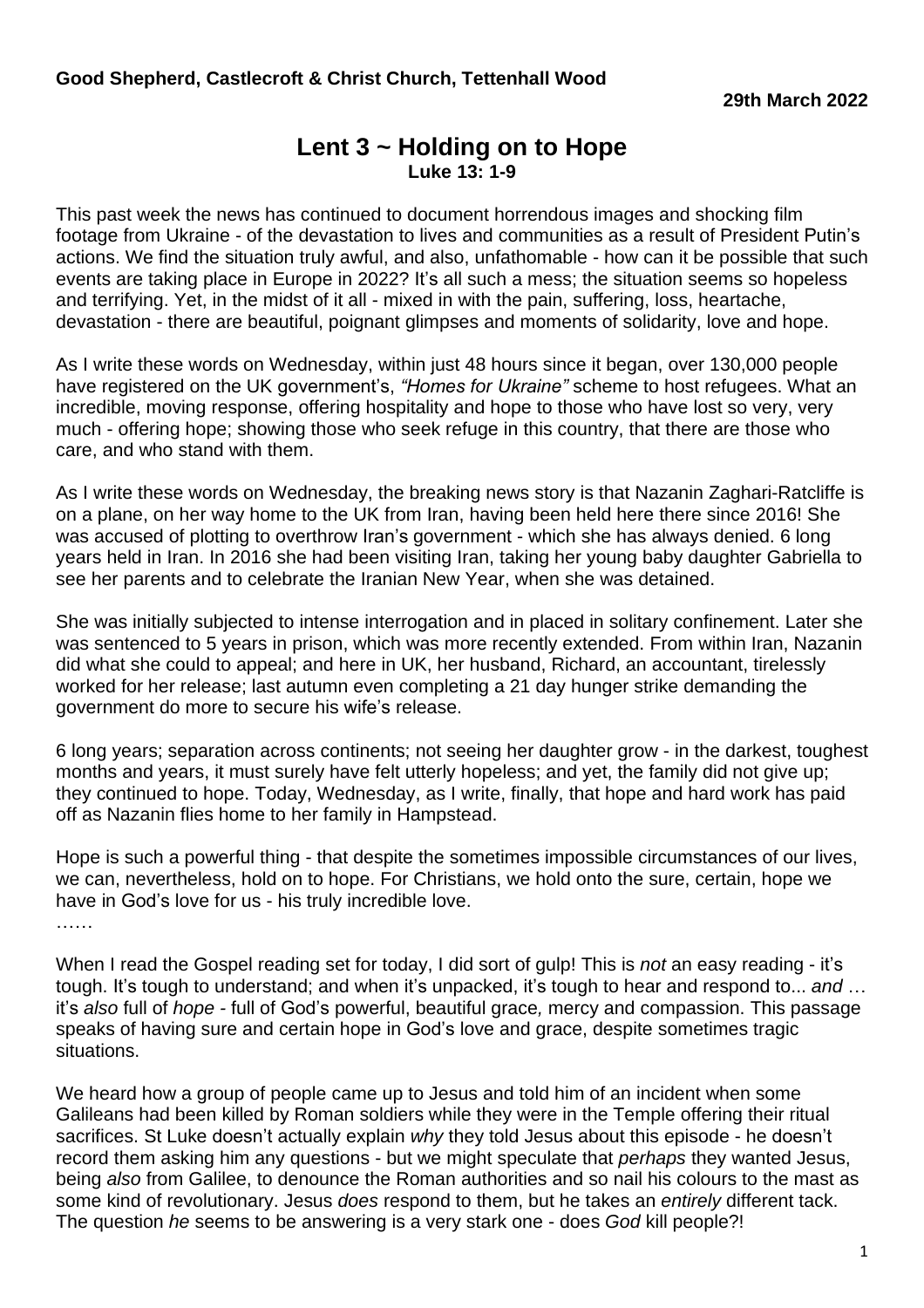## **Lent 3 ~ Holding on to Hope Luke 13: 1-9**

This past week the news has continued to document horrendous images and shocking film footage from Ukraine - of the devastation to lives and communities as a result of President Putin's actions. We find the situation truly awful, and also, unfathomable - how can it be possible that such events are taking place in Europe in 2022? It's all such a mess; the situation seems so hopeless and terrifying. Yet, in the midst of it all - mixed in with the pain, suffering, loss, heartache, devastation - there are beautiful, poignant glimpses and moments of solidarity, love and hope.

As I write these words on Wednesday, within just 48 hours since it began, over 130,000 people have registered on the UK government's, *"Homes for Ukraine"* scheme to host refugees. What an incredible, moving response, offering hospitality and hope to those who have lost so very, very much - offering hope; showing those who seek refuge in this country, that there are those who care, and who stand with them.

As I write these words on Wednesday, the breaking news story is that Nazanin Zaghari-Ratcliffe is on a plane, on her way home to the UK from Iran, having been held here there since 2016! She was accused of plotting to overthrow Iran's government - which she has always denied. 6 long years held in Iran. In 2016 she had been visiting Iran, taking her young baby daughter Gabriella to see her parents and to celebrate the Iranian New Year, when she was detained.

She was initially subjected to intense interrogation and in placed in solitary confinement. Later she was sentenced to 5 years in prison, which was more recently extended. From within Iran, Nazanin did what she could to appeal; and here in UK, her husband, Richard, an accountant, tirelessly worked for her release; last autumn even completing a 21 day hunger strike demanding the government do more to secure his wife's release.

6 long years; separation across continents; not seeing her daughter grow - in the darkest, toughest months and years, it must surely have felt utterly hopeless; and yet, the family did not give up; they continued to hope. Today, Wednesday, as I write, finally, that hope and hard work has paid off as Nazanin flies home to her family in Hampstead.

Hope is such a powerful thing - that despite the sometimes impossible circumstances of our lives, we can, nevertheless, hold on to hope. For Christians, we hold onto the sure, certain, hope we have in God's love for us - his truly incredible love.

……

When I read the Gospel reading set for today, I did sort of gulp! This is *not* an easy reading - it's tough. It's tough to understand; and when it's unpacked, it's tough to hear and respond to... *and* … it's *also* full of *hope -* full of God's powerful, beautiful grace*,* mercy and compassion. This passage speaks of having sure and certain hope in God's love and grace, despite sometimes tragic situations.

We heard how a group of people came up to Jesus and told him of an incident when some Galileans had been killed by Roman soldiers while they were in the Temple offering their ritual sacrifices. St Luke doesn't actually explain *why* they told Jesus about this episode - he doesn't record them asking him any questions - but we might speculate that *perhaps* they wanted Jesus, being *also* from Galilee, to denounce the Roman authorities and so nail his colours to the mast as some kind of revolutionary. Jesus *does* respond to them, but he takes an *entirely* different tack. The question *he* seems to be answering is a very stark one - does *God* kill people?!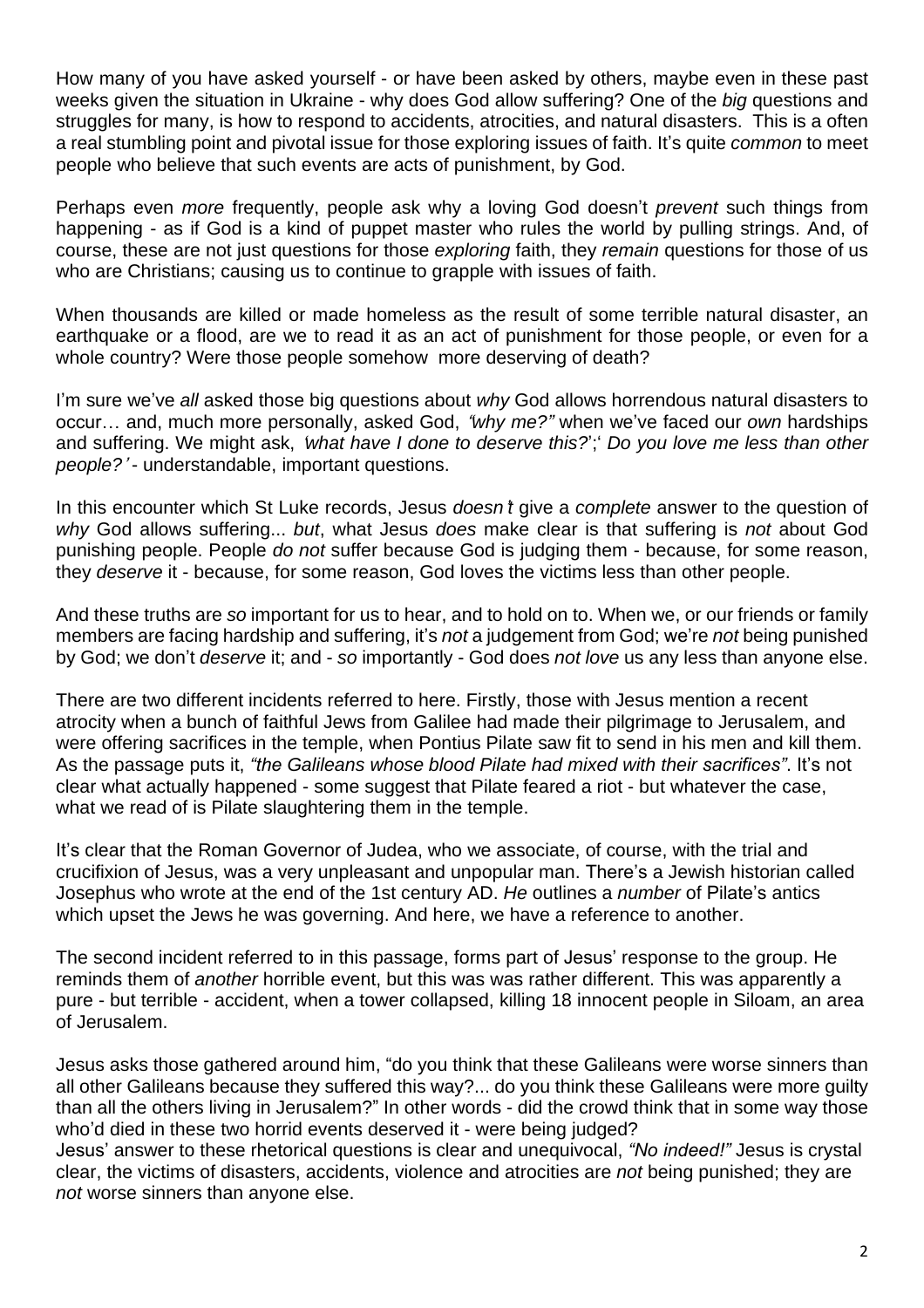How many of you have asked yourself - or have been asked by others, maybe even in these past weeks given the situation in Ukraine - why does God allow suffering? One of the *big* questions and struggles for many, is how to respond to accidents, atrocities, and natural disasters. This is a often a real stumbling point and pivotal issue for those exploring issues of faith. It's quite *common* to meet people who believe that such events are acts of punishment, by God.

Perhaps even *more* frequently, people ask why a loving God doesn't *prevent* such things from happening - as if God is a kind of puppet master who rules the world by pulling strings. And, of course, these are not just questions for those *exploring* faith, they *remain* questions for those of us who are Christians; causing us to continue to grapple with issues of faith.

When thousands are killed or made homeless as the result of some terrible natural disaster, an earthquake or a flood, are we to read it as an act of punishment for those people, or even for a whole country? Were those people somehow more deserving of death?

I'm sure we've *all* asked those big questions about *why* God allows horrendous natural disasters to occur… and, much more personally, asked God, "*why me?"* when we've faced our *own* hardships and suffering. We might ask, '*what have I done to deserve this?*';' *Do you love me less than other people?*' - understandable, important questions.

In this encounter which St Luke records, Jesus *doesn*'*t* give a *complete* answer to the question of *why* God allows suffering... *but*, what Jesus *does* make clear is that suffering is *not* about God punishing people. People *do not* suffer because God is judging them - because, for some reason, they *deserve* it - because, for some reason, God loves the victims less than other people.

And these truths are *so* important for us to hear, and to hold on to. When we, or our friends or family members are facing hardship and suffering, it's *not* a judgement from God; we're *not* being punished by God; we don't *deserve* it; and - *so* importantly - God does *not love* us any less than anyone else.

There are two different incidents referred to here. Firstly, those with Jesus mention a recent atrocity when a bunch of faithful Jews from Galilee had made their pilgrimage to Jerusalem, and were offering sacrifices in the temple, when Pontius Pilate saw fit to send in his men and kill them. As the passage puts it, *"the Galileans whose blood Pilate had mixed with their sacrifices"*. It's not clear what actually happened - some suggest that Pilate feared a riot - but whatever the case, what we read of is Pilate slaughtering them in the temple.

It's clear that the Roman Governor of Judea, who we associate, of course, with the trial and crucifixion of Jesus, was a very unpleasant and unpopular man. There's a Jewish historian called Josephus who wrote at the end of the 1st century AD. *He* outlines a *number* of Pilate's antics which upset the Jews he was governing. And here, we have a reference to another.

The second incident referred to in this passage, forms part of Jesus' response to the group. He reminds them of *another* horrible event, but this was was rather different. This was apparently a pure - but terrible - accident, when a tower collapsed, killing 18 innocent people in Siloam, an area of Jerusalem.

Jesus asks those gathered around him, "do you think that these Galileans were worse sinners than all other Galileans because they suffered this way?... do you think these Galileans were more guilty than all the others living in Jerusalem?" In other words - did the crowd think that in some way those who'd died in these two horrid events deserved it - were being judged?

Jesus' answer to these rhetorical questions is clear and unequivocal, *"No indeed!"* Jesus is crystal clear, the victims of disasters, accidents, violence and atrocities are *not* being punished; they are *not* worse sinners than anyone else.